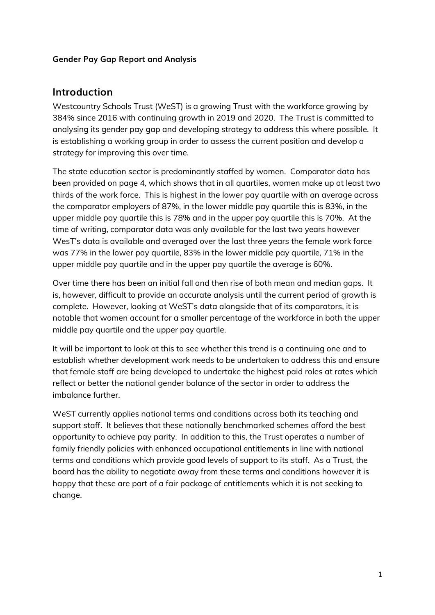### **Gender Pay Gap Report and Analysis**

### **Introduction**

Westcountry Schools Trust (WeST) is a growing Trust with the workforce growing by 384% since 2016 with continuing growth in 2019 and 2020. The Trust is committed to analysing its gender pay gap and developing strategy to address this where possible. It is establishing a working group in order to assess the current position and develop a strategy for improving this over time.

The state education sector is predominantly staffed by women. Comparator data has been provided on page 4, which shows that in all quartiles, women make up at least two thirds of the work force. This is highest in the lower pay quartile with an average across the comparator employers of 87%, in the lower middle pay quartile this is 83%, in the upper middle pay quartile this is 78% and in the upper pay quartile this is 70%. At the time of writing, comparator data was only available for the last two years however WesT's data is available and averaged over the last three years the female work force was 77% in the lower pay quartile, 83% in the lower middle pay quartile, 71% in the upper middle pay quartile and in the upper pay quartile the average is 60%.

Over time there has been an initial fall and then rise of both mean and median gaps. It is, however, difficult to provide an accurate analysis until the current period of growth is complete. However, looking at WeST's data alongside that of its comparators, it is notable that women account for a smaller percentage of the workforce in both the upper middle pay quartile and the upper pay quartile.

It will be important to look at this to see whether this trend is a continuing one and to establish whether development work needs to be undertaken to address this and ensure that female staff are being developed to undertake the highest paid roles at rates which reflect or better the national gender balance of the sector in order to address the imbalance further.

WeST currently applies national terms and conditions across both its teaching and support staff. It believes that these nationally benchmarked schemes afford the best opportunity to achieve pay parity. In addition to this, the Trust operates a number of family friendly policies with enhanced occupational entitlements in line with national terms and conditions which provide good levels of support to its staff. As a Trust, the board has the ability to negotiate away from these terms and conditions however it is happy that these are part of a fair package of entitlements which it is not seeking to change.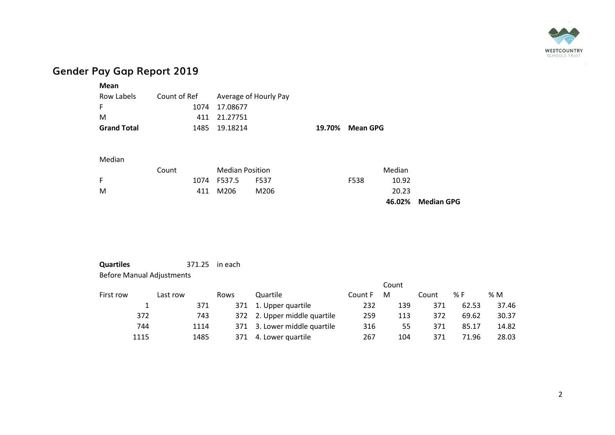

# **Gender Pay Gap Report 2019**

| Mean               |              |                       |                 |
|--------------------|--------------|-----------------------|-----------------|
| Row Labels         | Count of Ref | Average of Hourly Pay |                 |
|                    |              | 1074 17.08677         |                 |
| м                  |              | 411 21.27751          |                 |
| <b>Grand Total</b> |              | 1485 19.18214         | 19.70% Mean GPG |
|                    |              |                       |                 |

#### Median

|   | Count |     | <b>Median Position</b> |      |      | Median |                   |  |  |
|---|-------|-----|------------------------|------|------|--------|-------------------|--|--|
| F |       |     | 1074 F537.5            | F537 | F538 | 10.92  |                   |  |  |
| M |       | 411 | M206                   | M206 |      | 20.23  |                   |  |  |
|   |       |     |                        |      |      |        | 46.02% Median GPG |  |  |

### **Quartiles** 371.25 in each Before Manual Adjustments

|           |      |          |      |      | Count                        |         |     |       |       |       |  |  |
|-----------|------|----------|------|------|------------------------------|---------|-----|-------|-------|-------|--|--|
| First row |      | Last row |      | Rows | Quartile                     | Count F | М   | Count | % F   | %M    |  |  |
|           | 1    |          | 371  |      | 371 1. Upper quartile        | 232     | 139 | 371   | 62.53 | 37.46 |  |  |
|           | 372  |          | 743  |      | 372 2. Upper middle quartile | 259     | 113 | 372   | 69.62 | 30.37 |  |  |
|           | 744  |          | 1114 |      | 371 3. Lower middle quartile | 316     | 55  | 371   | 85.17 | 14.82 |  |  |
|           | 1115 |          | 1485 | 371  | 4. Lower quartile            | 267     | 104 | 371   | 71.96 | 28.03 |  |  |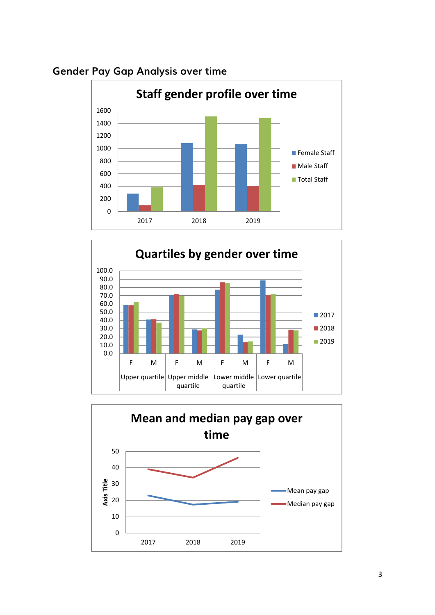

## **Gender Pay Gap Analysis over time**